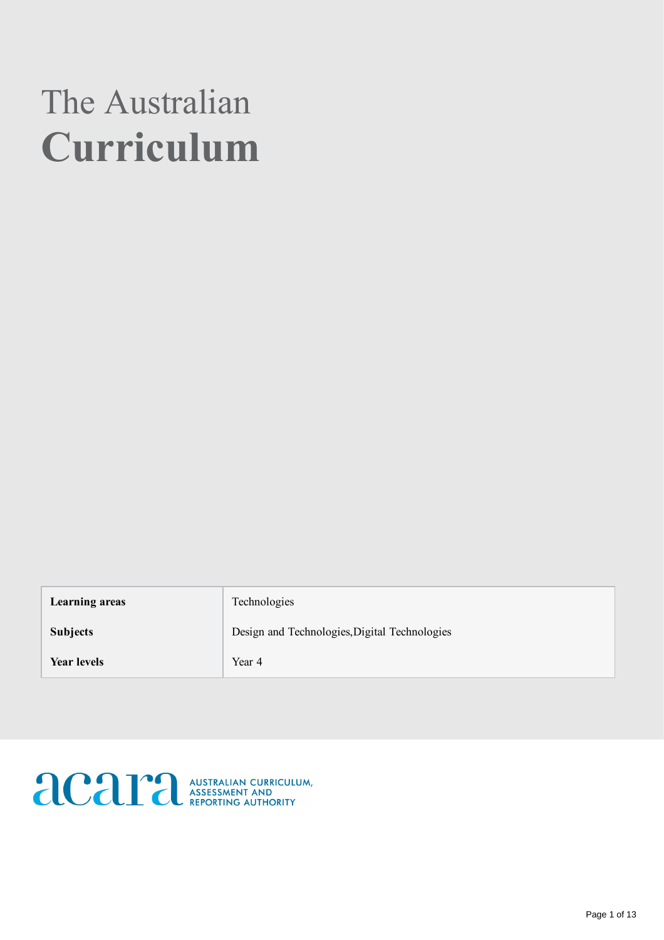# The Australian Curriculum

| <b>Learning areas</b> | Technologies                                  |
|-----------------------|-----------------------------------------------|
| <b>Subjects</b>       | Design and Technologies, Digital Technologies |
| <b>Year levels</b>    | Year 4                                        |

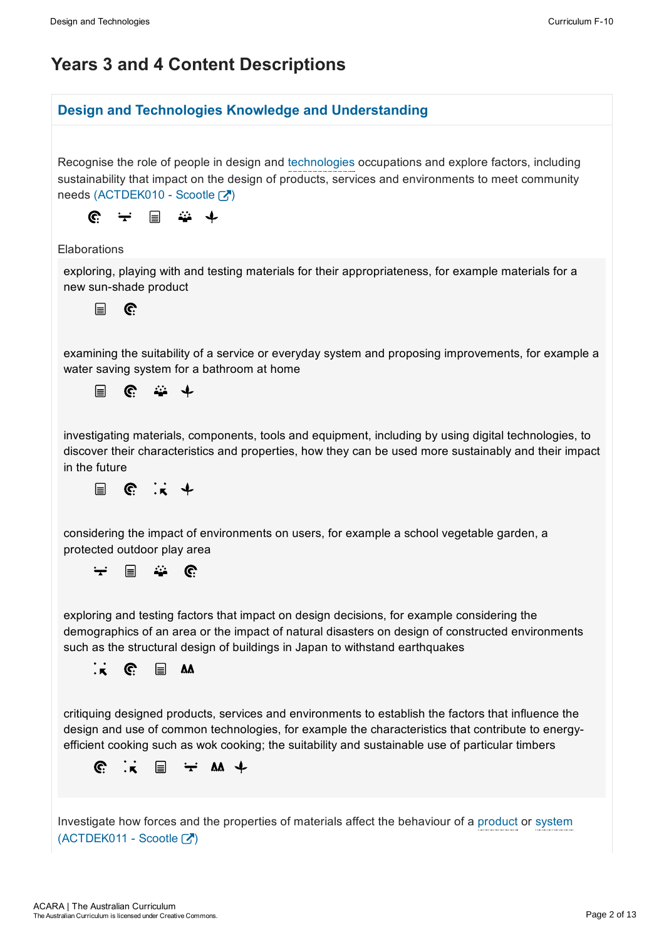# Years 3 and 4 Content Descriptions

### Design and Technologies Knowledge and Understanding

Recognise the role of people in design and technologies occupations and explore factors, including sustainability that impact on the design of products, services and environments to meet community needs (ACTDEK010 - Scootle  $\binom{7}{1}$ 



#### **Elaborations**

exploring, playing with and testing materials for their appropriateness, for example materials for a new sun-shade product



examining the suitability of a service or everyday system and proposing improvements, for example a water saving system for a bathroom at home

 $\frac{1}{2}$  $\mathbb{C}$ 目

investigating materials, components, tools and equipment, including by using digital technologies, to discover their characteristics and properties, how they can be used more sustainably and their impact in the future

 $\mathbb{C}$   $\mathbb{R}$   $\mathbb{C}$ 目

considering the impact of environments on users, for example a school vegetable garden, a protected outdoor play area

 $\div$  $\mathbf{r}$  $\mathbf{L}$ <u>ଜ</u>

exploring and testing factors that impact on design decisions, for example considering the demographics of an area or the impact of natural disasters on design of constructed environments such as the structural design of buildings in Japan to withstand earthquakes



critiquing designed products, services and environments to establish the factors that influence the design and use of common technologies, for example the characteristics that contribute to energyefficient cooking such as wok cooking; the suitability and sustainable use of particular timbers

 $\div$  as  $\div$ G.  $\cdot$   $\cdot$ 目

Investigate how forces and the properties of materials affect the behaviour of a product or system (ACTDEK011 - Scootle [7])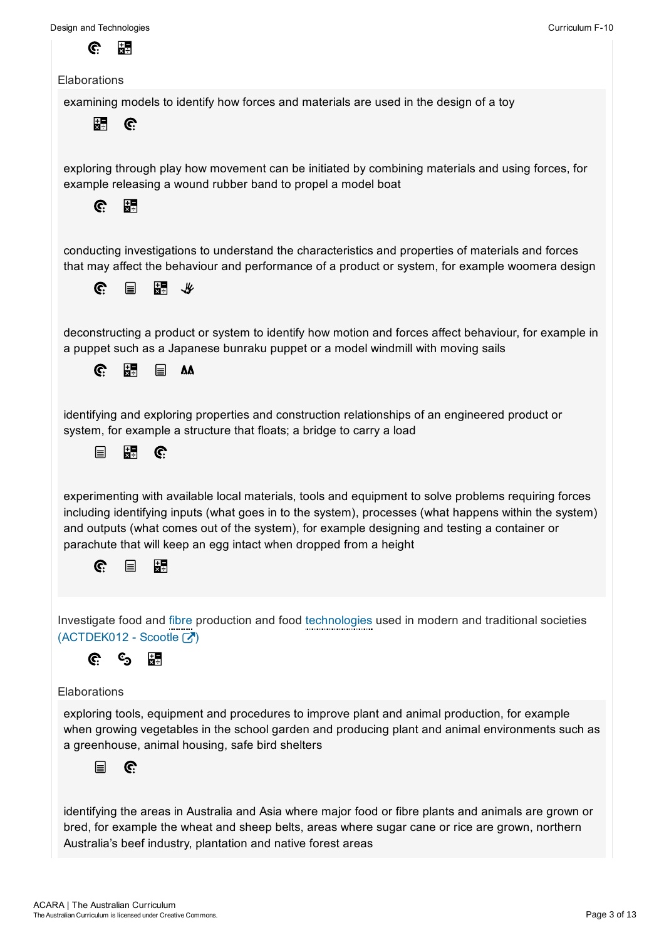

#### **Elaborations**

examining models to identify how forces and materials are used in the design of a toy

疆 C.

exploring through play how movement can be initiated by combining materials and using forces, for example releasing a wound rubber band to propel a model boat

| L.<br>z<br>$\div$<br>$\mathbf x$ |
|----------------------------------|
|                                  |

conducting investigations to understand the characteristics and properties of materials and forces that may affect the behaviour and performance of a product or system, for example woomera design



deconstructing a product or system to identify how motion and forces affect behaviour, for example in a puppet such as a Japanese bunraku puppet or a model windmill with moving sails



identifying and exploring properties and construction relationships of an engineered product or system, for example a structure that floats; a bridge to carry a load



experimenting with available local materials, tools and equipment to solve problems requiring forces including identifying inputs (what goes in to the system), processes (what happens within the system) and outputs (what comes out of the system), for example designing and testing a container or parachute that will keep an egg intact when dropped from a height



Investigate food and fibre production and food technologies used in modern and traditional societies (ACTDEK012 - Scootle  $\binom{7}{1}$ 



**Elaborations** 

exploring tools, equipment and procedures to improve plant and animal production, for example when growing vegetables in the school garden and producing plant and animal environments such as a greenhouse, animal housing, safe bird shelters



identifying the areas in Australia and Asia where major food or fibre plants and animals are grown or bred, for example the wheat and sheep belts, areas where sugar cane or rice are grown, northern Australia's beef industry, plantation and native forest areas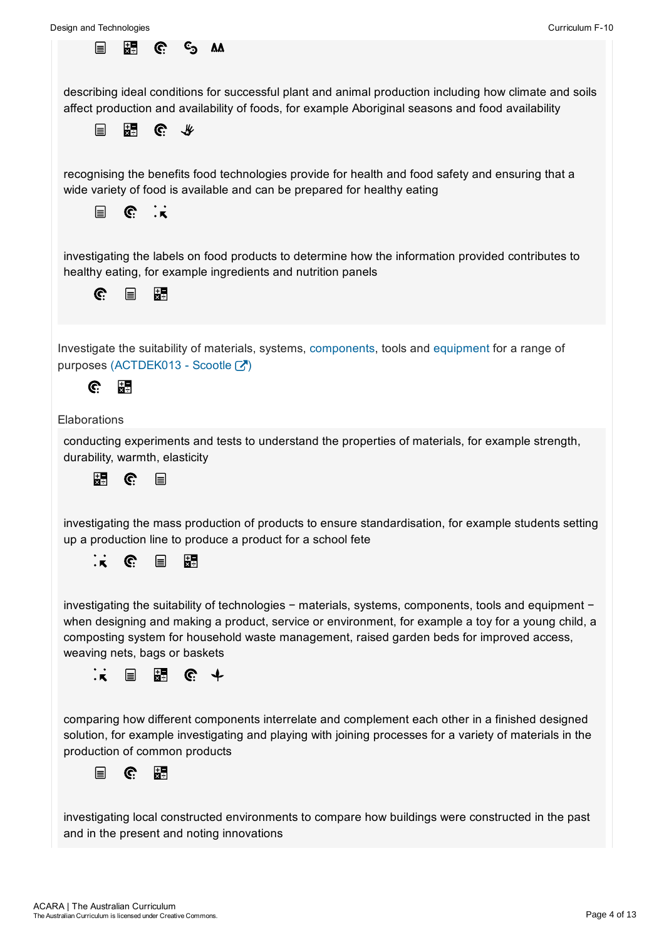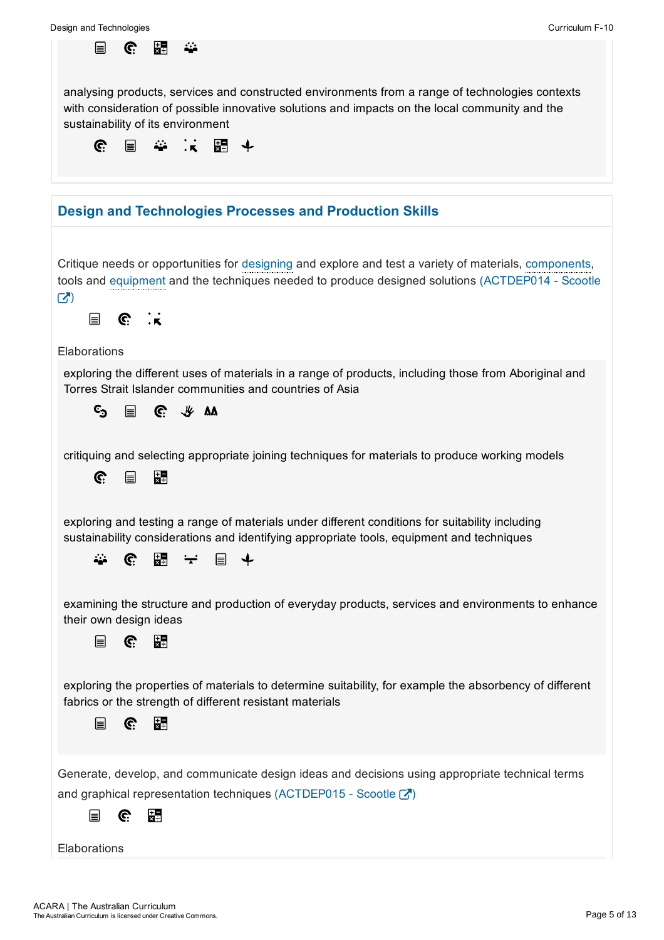| Design and Technologies                                                                                                                                                                                                                                                                        | Curriculum F-10 |
|------------------------------------------------------------------------------------------------------------------------------------------------------------------------------------------------------------------------------------------------------------------------------------------------|-----------------|
| 闘<br>Ĝ.<br>₩<br>冒                                                                                                                                                                                                                                                                              |                 |
| analysing products, services and constructed environments from a range of technologies contexts<br>with consideration of possible innovative solutions and impacts on the local community and the<br>sustainability of its environment                                                         |                 |
| ※ 次 題 ↓<br>C.<br>目                                                                                                                                                                                                                                                                             |                 |
| <b>Design and Technologies Processes and Production Skills</b>                                                                                                                                                                                                                                 |                 |
| Critique needs or opportunities for designing and explore and test a variety of materials, components,<br>tools and equipment and the techniques needed to produce designed solutions (ACTDEP014 - Scootle<br>$\mathbf{C}$<br>Ĝ.<br>$\equiv$<br>$\overline{\mathbf{A}}$<br><b>Elaborations</b> |                 |
| exploring the different uses of materials in a range of products, including those from Aboriginal and<br>Torres Strait Islander communities and countries of Asia                                                                                                                              |                 |
| G: A VV<br><sup>c</sup> ා<br>$\equiv$                                                                                                                                                                                                                                                          |                 |
| critiquing and selecting appropriate joining techniques for materials to produce working models<br>$\frac{1}{\sqrt{2}}$<br>G.<br>目                                                                                                                                                             |                 |
| exploring and testing a range of materials under different conditions for suitability including<br>sustainability considerations and identifying appropriate tools, equipment and techniques<br>44<br>불 눈<br>C.<br>目→                                                                          |                 |
| examining the structure and production of everyday products, services and environments to enhance<br>their own design ideas<br>開<br>$\equiv$<br>C.                                                                                                                                             |                 |
| exploring the properties of materials to determine suitability, for example the absorbency of different<br>fabrics or the strength of different resistant materials<br>體<br>C:<br>冒                                                                                                            |                 |
| Generate, develop, and communicate design ideas and decisions using appropriate technical terms<br>and graphical representation techniques (ACTDEP015 - Scootle $\mathbb{Z}$ )<br>闊<br>C.<br>冒                                                                                                 |                 |
| Elaborations                                                                                                                                                                                                                                                                                   |                 |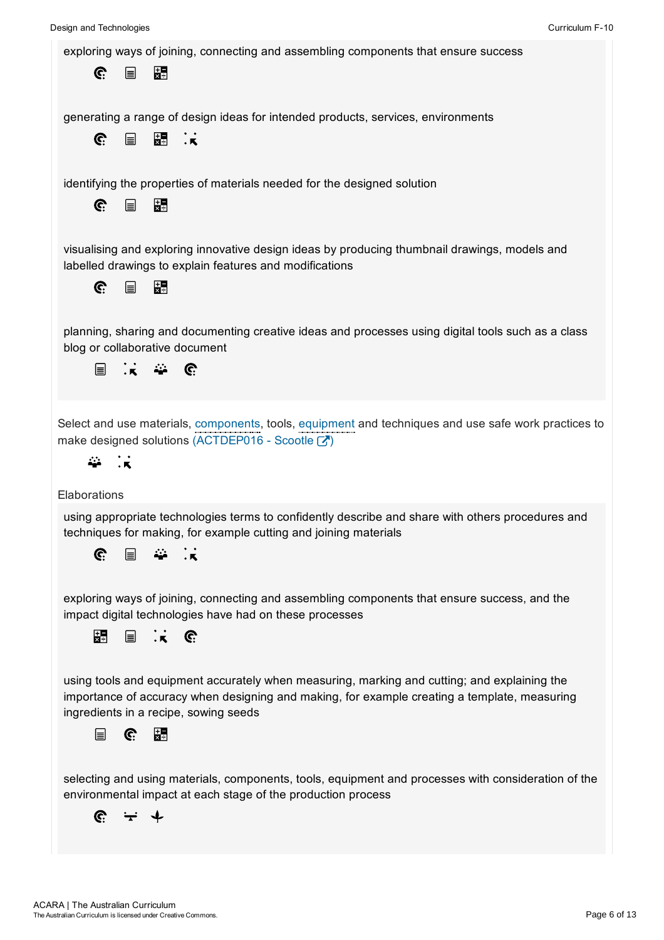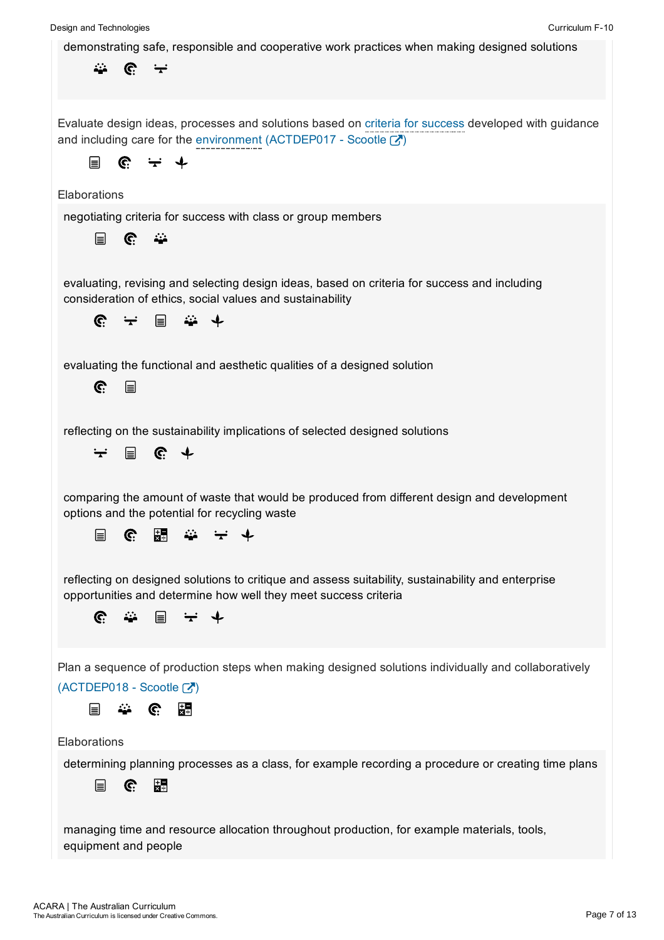Design and Technologies

demonstrating safe, responsible and cooperative work practices when making designed solutions 22 G.  $\div$ Evaluate design ideas, processes and solutions based on criteria for success developed with guidance and including care for the environment (ACTDEP017 - Scootle  $\mathcal{C}$ )  $\div$   $\downarrow$ 目 G. **Elaborations** negotiating criteria for success with class or group members 目  $\mathbf{C}$  $\mathcal{L}$ evaluating, revising and selecting design ideas, based on criteria for success and including consideration of ethics, social values and sustainability **ب** شه  $\mathbf{C}$  $\div$ 目 evaluating the functional and aesthetic qualities of a designed solution  $\widehat{C}$  $\mathbf{r}$ reflecting on the sustainability implications of selected designed solutions  $\div$ 目  $\mathbb{C}$   $\downarrow$ comparing the amount of waste that would be produced from different design and development options and the potential for recycling waste  $\Box$ C. 題 42  $\div$   $\downarrow$ reflecting on designed solutions to critique and assess suitability, sustainability and enterprise opportunities and determine how well they meet success criteria C.  $\mathcal{L}$  $\div$   $\downarrow$ 目 Plan a sequence of production steps when making designed solutions individually and collaboratively  $(ACTDEP018 - Scootle [7])$ 42 開 目 G. Elaborations determining planning processes as a class, for example recording a procedure or creating time plans G. 駻 冒 managing time and resource allocation throughout production, for example materials, tools, equipment and people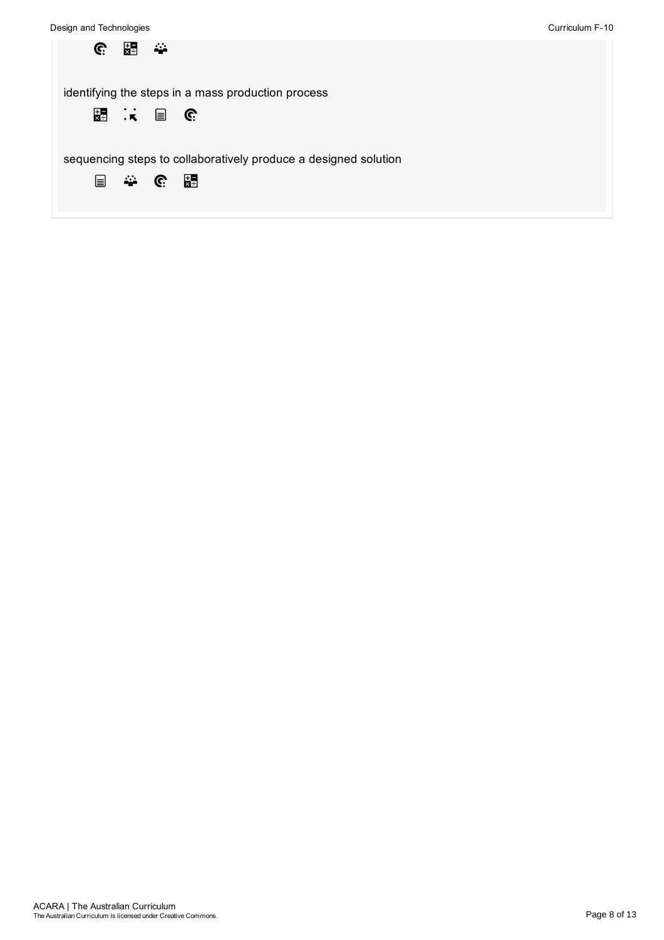identifying the steps in a mass production process

最大  $\mathbf{r}$  $\mathbf{C}$ 

最幸

sequencing steps to collaboratively produce a designed solution

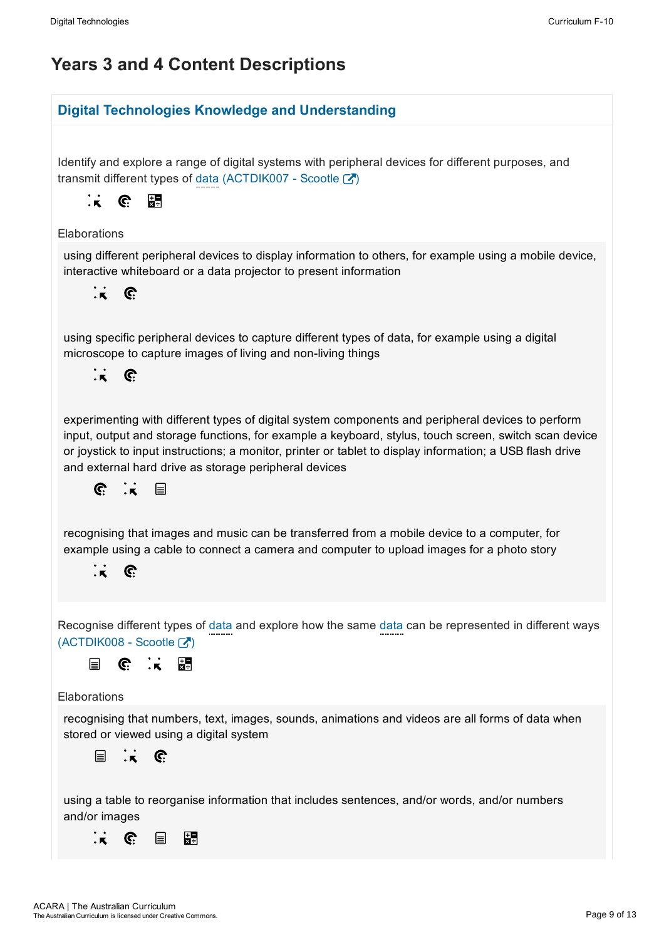# Years 3 and 4 Content Descriptions

## Digital Technologies Knowledge and Understanding Identify and explore a range of digital systems with peripheral devices for different purposes, and transmit different types of data (ACTDIK007 - Scootle  $\mathbb{Z}$ )  $\ddot{\cdot}$ C. 鱪 Elaborations using different peripheral devices to display information to others, for example using a mobile device, interactive whiteboard or a data projector to present information G.  $\cdot$  . using specific peripheral devices to capture different types of data, for example using a digital microscope to capture images of living and non-living things  $\cdot$  . C. experimenting with different types of digital system components and peripheral devices to perform input, output and storage functions, for example a keyboard, stylus, touch screen, switch scan device or joystick to input instructions; a monitor, printer or tablet to display information; a USB flash drive and external hard drive as storage peripheral devices C.  $\ddot{\phantom{a}}$ 目 recognising that images and music can be transferred from a mobile device to a computer, for example using a cable to connect a camera and computer to upload images for a photo story  $\mathbf{\dot{K}}$  $\mathbf{C}$ Recognise different types of data and explore how the same data can be represented in different ways  $(ACTDIK008 - ScoreI)$ 目 C.  $\cdot$  .  $\overline{\mathbf{x}}$ 即 **Elaborations** recognising that numbers, text, images, sounds, animations and videos are all forms of data when stored or viewed using a digital system 目  $\cdot$   $\cdot$ <u>ଜ</u> using a table to reorganise information that includes sentences, and/or words, and/or numbers and/or images 弱  $\mathbf{C}$  $\equiv$  $\mathbf{K}$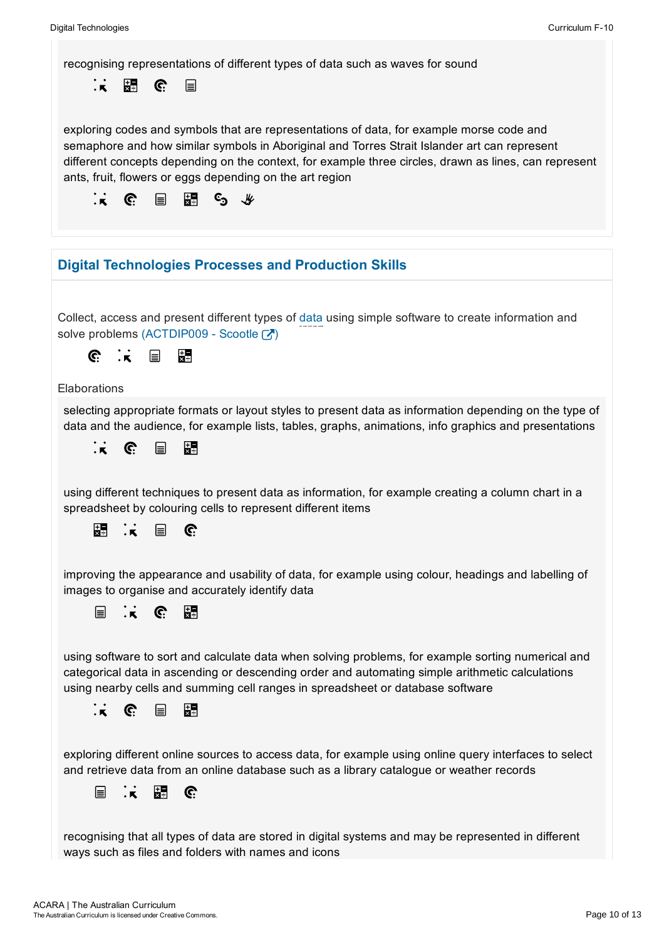

**品 G** 目  $\mathbf{K}$ 

exploring codes and symbols that are representations of data, for example morse code and semaphore and how similar symbols in Aboriginal and Torres Strait Islander art can represent different concepts depending on the context, for example three circles, drawn as lines, can represent ants, fruit, flowers or eggs depending on the art region



| <b>Digital Technologies Processes and Production Skills</b>                                                                                                                                                                                                                                                            |
|------------------------------------------------------------------------------------------------------------------------------------------------------------------------------------------------------------------------------------------------------------------------------------------------------------------------|
| Collect, access and present different types of data using simple software to create information and<br>solve problems (ACTDIP009 - Scootle $\mathbb{Z}$ )<br>$\mathbb{C}$ $\mathbb{R}$ $\mathbb{B}$ $\mathbb{R}$                                                                                                       |
| Elaborations                                                                                                                                                                                                                                                                                                           |
| selecting appropriate formats or layout styles to present data as information depending on the type of<br>data and the audience, for example lists, tables, graphs, animations, info graphics and presentations<br>開<br>$\mathbf{C} \quad \mathbf{E}$<br>K                                                             |
| using different techniques to present data as information, for example creating a column chart in a<br>spreadsheet by colouring cells to represent different items                                                                                                                                                     |
| 開 : 目 G:                                                                                                                                                                                                                                                                                                               |
| improving the appearance and usability of data, for example using colour, headings and labelling of<br>images to organise and accurately identify data<br>$\mathbf{K}$<br>開<br>C.<br>$\equiv$                                                                                                                          |
| using software to sort and calculate data when solving problems, for example sorting numerical and<br>categorical data in ascending or descending order and automating simple arithmetic calculations<br>using nearby cells and summing cell ranges in spreadsheet or database software<br>$\mathbb{C}$<br>開<br>目<br>K |
| exploring different online sources to access data, for example using online query interfaces to select<br>and retrieve data from an online database such as a library catalogue or weather records<br>是<br>$\mathbf{\ddot{.}}\mathbf{\ddot{.}}$<br>C.<br>冒                                                             |
| recognising that all types of data are stored in digital systems and may be represented in different<br>ways such as files and folders with names and icons                                                                                                                                                            |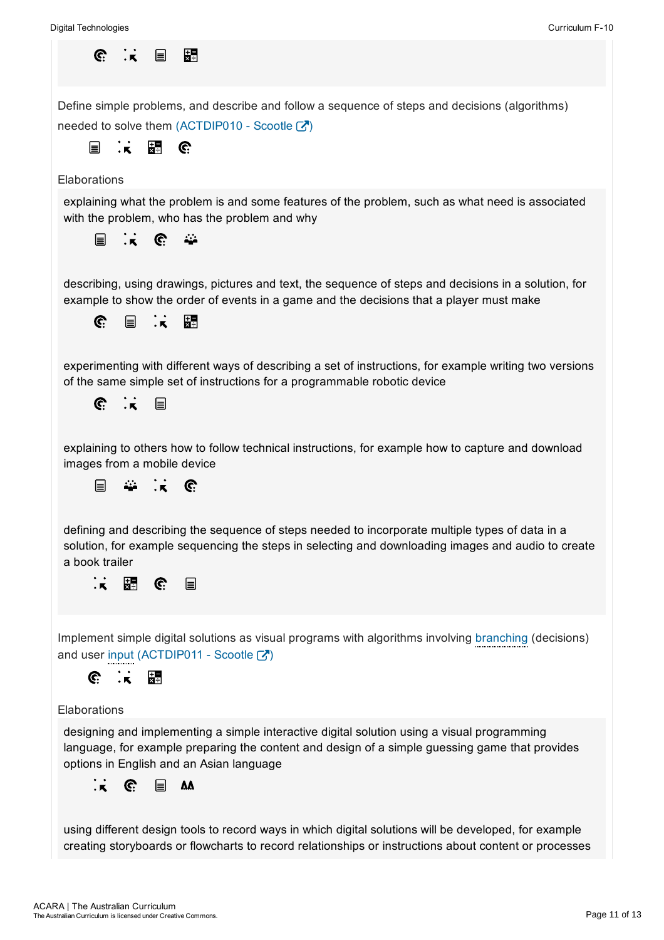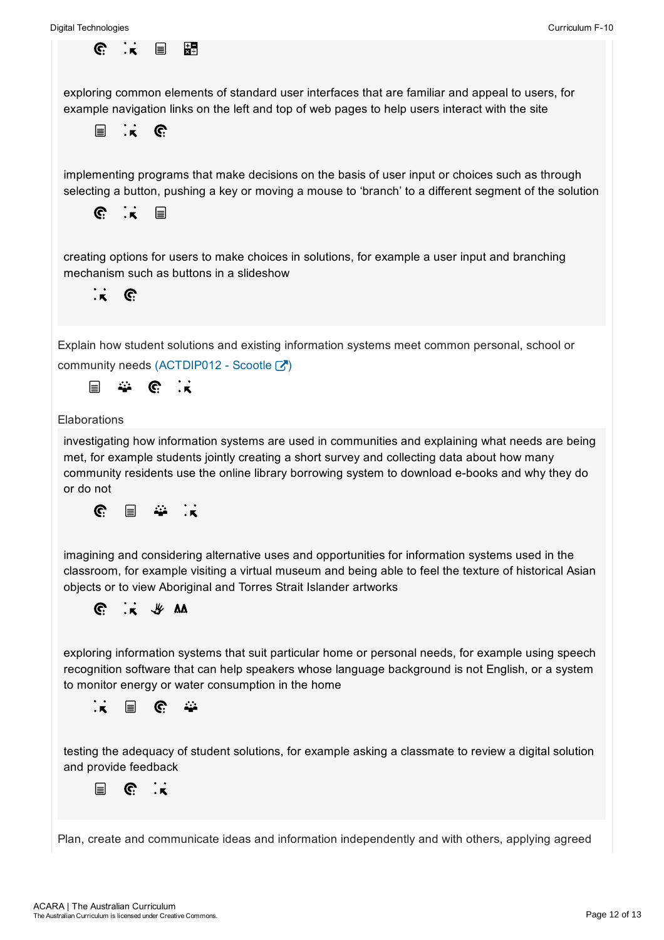C.

exploring common elements of standard user interfaces that are familiar and appeal to users, for example navigation links on the left and top of web pages to help users interact with the site



 $\mathbf{K}$ 

弱

目

implementing programs that make decisions on the basis of user input or choices such as through selecting a button, pushing a key or moving a mouse to 'branch' to a different segment of the solution



creating options for users to make choices in solutions, for example a user input and branching mechanism such as buttons in a slideshow



Explain how student solutions and existing information systems meet common personal, school or

community needs (ACTDIP012 - Scootle  $\overline{(\gamma)}$ )

 $\mathbf{r}$  $\mathbf{L}$  $\mathbb{C}$   $\mathbb{R}$ 

#### **Elaborations**

investigating how information systems are used in communities and explaining what needs are being met, for example students jointly creating a short survey and collecting data about how many community residents use the online library borrowing system to download e-books and why they do or do not



imagining and considering alternative uses and opportunities for information systems used in the classroom, for example visiting a virtual museum and being able to feel the texture of historical Asian objects or to view Aboriginal and Torres Strait Islander artworks



exploring information systems that suit particular home or personal needs, for example using speech recognition software that can help speakers whose language background is not English, or a system to monitor energy or water consumption in the home



testing the adequacy of student solutions, for example asking a classmate to review a digital solution and provide feedback

 $\mathbb{C}$   $\mathbb{R}$  $\blacksquare$ 

Plan, create and communicate ideas and information independently and with others, applying agreed